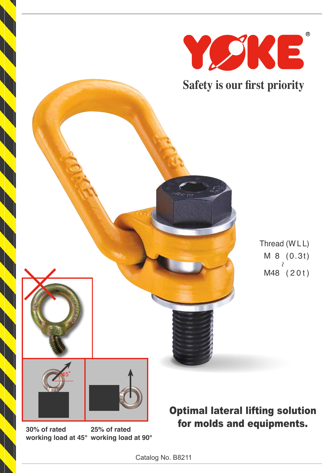

Thread (W L L) M 8 (0.3t) ∼M48 ( 2 0 t )

**30% of rated working load at 45° working load at 90° 25% of rated**

Optimal lateral lifting solution for molds and equipments.

Catalog No. B8211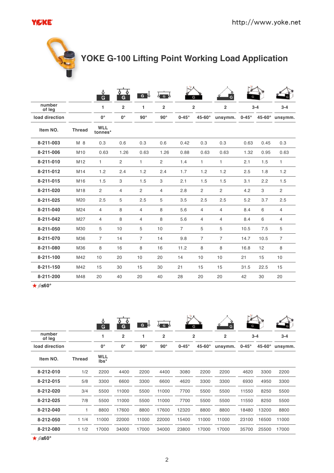### YØKE®



# **YOKE G-100 Lifting Point Working Load Application**

|                  |                 | ô<br>G                | G              | $G^{\bullet}$  | ဒီဇင်္         |                | G              | G              |              |         |                |
|------------------|-----------------|-----------------------|----------------|----------------|----------------|----------------|----------------|----------------|--------------|---------|----------------|
| number<br>of leg |                 | 1                     | $\overline{2}$ | 1              | $\overline{2}$ |                | $\overline{2}$ | $\overline{2}$ |              | $3 - 4$ | $3 - 4$        |
| load direction   |                 | $0^{\circ}$           | $0^{\circ}$    | $90^\circ$     | $90^\circ$     | $0-45^\circ$   | 45-60°         | unsymm.        | $0-45^\circ$ |         | 45-60° unsymm. |
| Item NO.         | <b>Thread</b>   | <b>WLL</b><br>tonnes* |                |                |                |                |                |                |              |         |                |
| 8-211-003        | M 8             | 0.3                   | 0.6            | 0.3            | 0.6            | 0.42           | 0.3            | 0.3            | 0.63         | 0.45    | 0.3            |
| 8-211-006        | M10             | 0.63                  | 1.26           | 0.63           | 1.26           | 0.88           | 0.63           | 0.63           | 1.32         | 0.95    | 0.63           |
| 8-211-010        | M <sub>12</sub> | $\mathbf{1}$          | $\mathbf{2}$   | $\mathbf{1}$   | 2              | 1.4            | 1.             | $\mathbf{1}$   | 2.1          | 1.5     | 1              |
| 8-211-012        | M14             | 1.2                   | 2.4            | 1.2            | 2.4            | 1.7            | 1.2            | 1.2            | 2.5          | 1.8     | 1.2            |
| 8-211-015        | M16             | 1.5                   | 3              | 1.5            | 3              | 2.1            | 1.5            | 1.5            | 3.1          | 2.2     | 1.5            |
| 8-211-020        | M18             | $\overline{2}$        | 4              | 2              | $\overline{4}$ | 2.8            | $\overline{c}$ | $\overline{2}$ | 4.2          | 3       | $\overline{2}$ |
| 8-211-025        | M20             | 2.5                   | 5              | 2.5            | 5              | 3.5            | 2.5            | 2.5            | 5.2          | 3.7     | 2.5            |
| 8-211-040        | M24             | $\overline{4}$        | 8              | $\overline{4}$ | 8              | 5.6            | 4              | $\overline{4}$ | 8.4          | 6       | $\overline{4}$ |
| 8-211-042        | M27             | 4                     | 8              | 4              | 8              | 5.6            | 4              | 4              | 8.4          | 6       | 4              |
| 8-211-050        | M30             | 5                     | 10             | 5              | 10             | $\overline{7}$ | 5              | 5              | 10.5         | 7.5     | 5              |
| 8-211-070        | M36             | 7                     | 14             | $\overline{7}$ | 14             | 9.8            | 7              | $\overline{7}$ | 14.7         | 10.5    | 7              |
| 8-211-080        | M36             | 8                     | 16             | 8              | 16             | 11.2           | 8              | 8              | 16.8         | 12      | 8              |
| 8-211-100        | M42             | 10                    | 20             | 10             | 20             | 14             | 10             | 10             | 21           | 15      | 10             |
| 8-211-150        | M42             | 15                    | 30             | 15             | 30             | 21             | 15             | 15             | 31.5         | 22.5    | 15             |
| 8-211-200        | M48             | 20                    | 40             | 20             | 40             | 28             | 20             | 20             | 42           | 30      | 20             |

 $★$   $\beta$  ≤60°

|                  |               | Ò<br>G                             | O<br>O<br>G    | G o        | $\overline{G}$ | G            |                | Ġ              | G     |         |                                          |  |         |
|------------------|---------------|------------------------------------|----------------|------------|----------------|--------------|----------------|----------------|-------|---------|------------------------------------------|--|---------|
| number<br>of leg |               | 1                                  | $\overline{2}$ | 1          | $\overline{2}$ |              | $\overline{2}$ | $\overline{2}$ |       | $3 - 4$ | $3 - 4$                                  |  |         |
| load direction   |               | 0°                                 | $0^{\circ}$    | $90^\circ$ | $90^\circ$     | $0-45^\circ$ | $45-60^\circ$  |                |       |         | $0-45^\circ$<br>$45-60^\circ$<br>unsymm. |  | unsymm. |
| Item NO.         | <b>Thread</b> | <b>WLL</b><br>$\mathsf{Ibs}^\star$ |                |            |                |              |                |                |       |         |                                          |  |         |
| 8-212-010        | 1/2           | 2200                               | 4400           | 2200       | 4400           | 3080         | 2200           | 2200           | 4620  | 3300    | 2200                                     |  |         |
| 8-212-015        | 5/8           | 3300                               | 6600           | 3300       | 6600           | 4620         | 3300           | 3300           | 6930  | 4950    | 3300                                     |  |         |
| 8-212-020        | 3/4           | 5500                               | 11000          | 5500       | 11000          | 7700         | 5500           | 5500           | 11550 | 8250    | 5500                                     |  |         |
| 8-212-025        | 7/8           | 5500                               | 11000          | 5500       | 11000          | 7700         | 5500           | 5500           | 11550 | 8250    | 5500                                     |  |         |
| 8-212-040        | 1             | 8800                               | 17600          | 8800       | 17600          | 12320        | 8800           | 8800           | 18480 | 13200   | 8800                                     |  |         |
| 8-212-050        | 11/4          | 11000                              | 22000          | 11000      | 22000          | 15400        | 11000          | 11000          | 23100 | 16500   | 11000                                    |  |         |
| 8-212-080        | 11/2          | 17000                              | 34000          | 17000      | 34000          | 23800        | 17000          | 17000          | 35700 | 25500   | 17000                                    |  |         |

★ $$$ ≤60°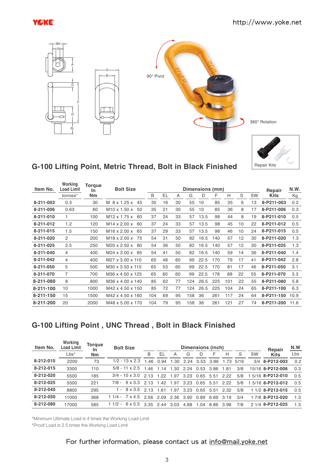

Repair Kits



## **G-100 Lifting Point, Metric Thread, Bolt in Black Finished**

| Item No.  | Working<br><b>Load Limit</b> | <b>Torque</b><br><u>In</u> | <b>Bolt Size</b><br>Dimensions (mm) |     |     |    |     |      |     |     | Repair | N.W. |             |      |
|-----------|------------------------------|----------------------------|-------------------------------------|-----|-----|----|-----|------|-----|-----|--------|------|-------------|------|
|           | tonnes*                      | <b>Nm</b>                  |                                     | B   | EL. | A  | G   | D    | F   | Н   | S      | SW   | <b>Kits</b> | Кg   |
| 8-211-003 | 0.3                          | 30                         | M 8 x 1.25 x<br>45                  | 35  | 16  | 30 | 55  | 10   | 85  | 35  | 6      | 13   | 8-P211-003  | 0.2  |
| 8-211-006 | 0.63                         | 60                         | $M10 \times 1.50 \times$<br>50      | 35  | 21  | 30 | 55  | 10   | 85  | 36  | 8      | 17   | 8-P211-006  | 0.3  |
| 8-211-010 |                              | 100                        | M <sub>12</sub> x 1.75 x<br>60      | 37  | 24  | 33 | 57  | 13.5 | 98  | 44  | 8      | 19   | 8-P211-010  | 0.5  |
| 8-211-012 | 1.2                          | 120                        | M <sub>14</sub> x 2.00 x<br>60      | 37  | 24  | 33 | 57  | 13.5 | 98  | 45  | 10     | 22   | 8-P211-012  | 0.5  |
| 8-211-015 | 1.5                          | 150                        | M <sub>16</sub> x 2.00 x<br>65      | 37  | 29  | 33 | 57  | 13.5 | 98  | 46  | 10     | 24   | 8-P211-015  | 0.5  |
| 8-211-020 | $\mathcal{P}$                | 200                        | M <sub>18</sub> x 2.00 x<br>75      | 54  | 31  | 50 | 82  | 16.5 | 140 | 57  | 12     | 30   | 8-P211-020  | 1.3  |
| 8-211-025 | 2.5                          | 250                        | M20 x 2.50 x<br>-80                 | 54  | 36  | 50 | 82  | 16.5 | 140 | 57  | 12     | 30   | 8-P211-025  | 1.3  |
| 8-211-040 | 4                            | 400                        | M24 x 3.00 x<br>85                  | 54  | 41  | 50 | 82  | 16.5 | 140 | 59  | 14     | 36   | 8-P211-040  | 1.4  |
| 8-211-042 | 4                            | 400                        | M27 x 3.00 x 110                    | 65  | 48  | 60 | 99  | 22.5 | 170 | 79  | 17     | 41   | 8-P211-042  | 2.8  |
| 8-211-050 | 5                            | 500                        | M30 x 3.50 x 115                    | 65  | 53  | 60 | 99  | 22.5 | 170 | 81  | 17     | 46   | 8-P211-050  | 3.1  |
| 8-211-070 | 7                            | 700                        | M36 x 4.00 x 125                    | 65  | 60  | 60 | 99  | 22.5 | 178 | 88  | 22     | 55   | 8-P211-070  | 3.3  |
| 8-211-080 | 8                            | 800                        | M36 x 4.00 x 140                    | 85  | 62  | 77 | 124 | 26.5 | 225 | 101 | 22     | 55   | 8-P211-080  | 5.8  |
| 8-211-100 | 10                           | 1000                       | M42 x 4.50 x 150                    | 85  | 72  | 77 | 124 | 26.5 | 225 | 104 | 24     | 65   | 8-P211-100  | 6.3  |
| 8-211-150 | 15                           | 1500                       | M42 x 4.50 x 160                    | 104 | 69  | 95 | 158 | 36   | 261 | 117 | 24     | 64   | 8-P211-150  | 10.9 |
| 8-211-200 | 20                           | 2000                       | M48 x 5.00 x 170                    | 104 | 79  | 95 | 158 | 36   | 261 | 121 | 27     | 74   | 8-P211-200  | 11.6 |

## **G-100 Lifting Point , UNC Thread , Bolt in Black Finished**

| Item No.  | Working<br>Load Limit | Torque<br><b>In</b> | <b>Bolt Size</b>      | <b>Dimensions (inch)</b> |      |      |      |           |      |      |      | Repair    | N.W               |     |
|-----------|-----------------------|---------------------|-----------------------|--------------------------|------|------|------|-----------|------|------|------|-----------|-------------------|-----|
|           | $Lbs^*$               | <b>Nm</b>           |                       | B                        | EL   | Α    | G    | D         | F    | Н    | S    | <b>SW</b> | <b>Kits</b>       | Lbs |
| 8-212-010 | 2200                  | 73                  | $1/2 - 13 \times 2.3$ | 146                      | 0.94 | 1.30 | 224  | 0.53      | 3.86 | 1 73 | 5/16 |           | 3/4 8-P212-003    | 0.2 |
| 8-212-015 | 3300                  | 110                 | $5/8 - 11 \times 2.5$ | 146                      | 1.14 | 1.30 | 2.24 | 0.53      | 3.86 | 1.81 | 3/8  |           | 15/16 8-P212-006  | 0.3 |
| 8-212-020 | 5500                  | 185                 | $3/4 - 10 \times 3.0$ | 2 1 3                    | 1 22 | 1.97 |      | 3.23 0.65 | 5.51 | 222  | 5/8  |           | 1 5/16 8-P212-010 | 0.5 |
| 8-212-025 | 5500                  | 221                 | $7/8 - 9 \times 3.3$  | 2 1 3                    | 142  | .97  | 3.23 | 0.65      | 5.51 | 222  | 5/8  |           | 1 5/16 8-P212-012 | 0.5 |
| 8-212-040 | 8800                  | 295                 | $-8 \times 3.5$       | 2 13                     | 161  | .97  | 3.23 | 0.65      | 5.51 | 2.32 | 5/8  |           | 1 1/2 8-P212-015  | 0.5 |
| 8-212-050 | 11000                 | 368                 | $11/4 - 7 \times 4.5$ | 2.56                     | 2.09 | 2.36 | 3.90 | 0.89      | 6.69 | 3.19 | 3/4  |           | 1 7/8 8-P212-020  | 1.3 |
| 8-212-080 | 17000                 | 585                 | $11/2 - 6 \times 5.5$ | 3.35 2.44                |      | 3.03 | 4.88 | 1.04      | 8.86 | 3.98 | 7/8  |           | 2 1/4 8-P212-025  | 1.3 |

\*Minimum Ultimate Load is 4 times the Working Load Limit

\*Proof Load is 2.5 times the Working Load Limit

#### For further information, please contact us at info@mail.yoke.net